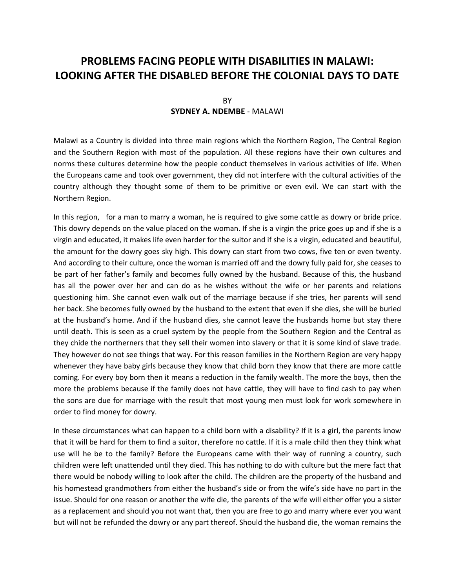# **PROBLEMS FACING PEOPLE WITH DISABILITIES IN MALAWI: LOOKING AFTER THE DISABLED BEFORE THE COLONIAL DAYS TO DATE**

## BY **SYDNEY A. NDEMBE** - MALAWI

Malawi as a Country is divided into three main regions which the Northern Region, The Central Region and the Southern Region with most of the population. All these regions have their own cultures and norms these cultures determine how the people conduct themselves in various activities of life. When the Europeans came and took over government, they did not interfere with the cultural activities of the country although they thought some of them to be primitive or even evil. We can start with the Northern Region.

In this region, for a man to marry a woman, he is required to give some cattle as dowry or bride price. This dowry depends on the value placed on the woman. If she is a virgin the price goes up and if she is a virgin and educated, it makes life even harder for the suitor and if she is a virgin, educated and beautiful, the amount for the dowry goes sky high. This dowry can start from two cows, five ten or even twenty. And according to their culture, once the woman is married off and the dowry fully paid for, she ceases to be part of her father's family and becomes fully owned by the husband. Because of this, the husband has all the power over her and can do as he wishes without the wife or her parents and relations questioning him. She cannot even walk out of the marriage because if she tries, her parents will send her back. She becomes fully owned by the husband to the extent that even if she dies, she will be buried at the husband's home. And if the husband dies, she cannot leave the husbands home but stay there until death. This is seen as a cruel system by the people from the Southern Region and the Central as they chide the northerners that they sell their women into slavery or that it is some kind of slave trade. They however do not see things that way. For this reason families in the Northern Region are very happy whenever they have baby girls because they know that child born they know that there are more cattle coming. For every boy born then it means a reduction in the family wealth. The more the boys, then the more the problems because if the family does not have cattle, they will have to find cash to pay when the sons are due for marriage with the result that most young men must look for work somewhere in order to find money for dowry.

In these circumstances what can happen to a child born with a disability? If it is a girl, the parents know that it will be hard for them to find a suitor, therefore no cattle. If it is a male child then they think what use will he be to the family? Before the Europeans came with their way of running a country, such children were left unattended until they died. This has nothing to do with culture but the mere fact that there would be nobody willing to look after the child. The children are the property of the husband and his homestead grandmothers from either the husband's side or from the wife's side have no part in the issue. Should for one reason or another the wife die, the parents of the wife will either offer you a sister as a replacement and should you not want that, then you are free to go and marry where ever you want but will not be refunded the dowry or any part thereof. Should the husband die, the woman remains the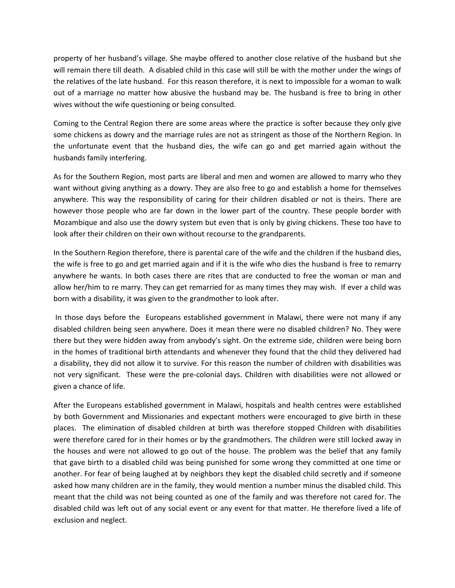property of her husband's village. She maybe offered to another close relative of the husband but she will remain there till death. A disabled child in this case will still be with the mother under the wings of the relatives of the late husband. For this reason therefore, it is next to impossible for a woman to walk out of a marriage no matter how abusive the husband may be. The husband is free to bring in other wives without the wife questioning or being consulted.

Coming to the Central Region there are some areas where the practice is softer because they only give some chickens as dowry and the marriage rules are not as stringent as those of the Northern Region. In the unfortunate event that the husband dies, the wife can go and get married again without the husbands family interfering.

As for the Southern Region, most parts are liberal and men and women are allowed to marry who they want without giving anything as a dowry. They are also free to go and establish a home for themselves anywhere. This way the responsibility of caring for their children disabled or not is theirs. There are however those people who are far down in the lower part of the country. These people border with Mozambique and also use the dowry system but even that is only by giving chickens. These too have to look after their children on their own without recourse to the grandparents.

In the Southern Region therefore, there is parental care of the wife and the children if the husband dies, the wife is free to go and get married again and if it is the wife who dies the husband is free to remarry anywhere he wants. In both cases there are rites that are conducted to free the woman or man and allow her/him to re marry. They can get remarried for as many times they may wish. If ever a child was born with a disability, it was given to the grandmother to look after.

In those days before the Europeans established government in Malawi, there were not many if any disabled children being seen anywhere. Does it mean there were no disabled children? No. They were there but they were hidden away from anybody's sight. On the extreme side, children were being born in the homes of traditional birth attendants and whenever they found that the child they delivered had a disability, they did not allow it to survive. For this reason the number of children with disabilities was not very significant. These were the pre-colonial days. Children with disabilities were not allowed or given a chance of life.

After the Europeans established government in Malawi, hospitals and health centres were established by both Government and Missionaries and expectant mothers were encouraged to give birth in these places. The elimination of disabled children at birth was therefore stopped Children with disabilities were therefore cared for in their homes or by the grandmothers. The children were still locked away in the houses and were not allowed to go out of the house. The problem was the belief that any family that gave birth to a disabled child was being punished for some wrong they committed at one time or another. For fear of being laughed at by neighbors they kept the disabled child secretly and if someone asked how many children are in the family, they would mention a number minus the disabled child. This meant that the child was not being counted as one of the family and was therefore not cared for. The disabled child was left out of any social event or any event for that matter. He therefore lived a life of exclusion and neglect.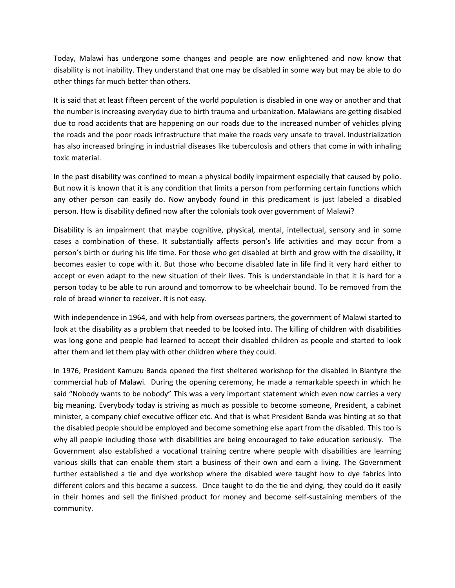Today, Malawi has undergone some changes and people are now enlightened and now know that disability is not inability. They understand that one may be disabled in some way but may be able to do other things far much better than others.

It is said that at least fifteen percent of the world population is disabled in one way or another and that the number is increasing everyday due to birth trauma and urbanization. Malawians are getting disabled due to road accidents that are happening on our roads due to the increased number of vehicles plying the roads and the poor roads infrastructure that make the roads very unsafe to travel. Industrialization has also increased bringing in industrial diseases like tuberculosis and others that come in with inhaling toxic material.

In the past disability was confined to mean a physical bodily impairment especially that caused by polio. But now it is known that it is any condition that limits a person from performing certain functions which any other person can easily do. Now anybody found in this predicament is just labeled a disabled person. How is disability defined now after the colonials took over government of Malawi?

Disability is an impairment that maybe cognitive, physical, mental, intellectual, sensory and in some cases a combination of these. It substantially affects person's life activities and may occur from a person's birth or during his life time. For those who get disabled at birth and grow with the disability, it becomes easier to cope with it. But those who become disabled late in life find it very hard either to accept or even adapt to the new situation of their lives. This is understandable in that it is hard for a person today to be able to run around and tomorrow to be wheelchair bound. To be removed from the role of bread winner to receiver. It is not easy.

With independence in 1964, and with help from overseas partners, the government of Malawi started to look at the disability as a problem that needed to be looked into. The killing of children with disabilities was long gone and people had learned to accept their disabled children as people and started to look after them and let them play with other children where they could.

In 1976, President Kamuzu Banda opened the first sheltered workshop for the disabled in Blantyre the commercial hub of Malawi. During the opening ceremony, he made a remarkable speech in which he said "Nobody wants to be nobody" This was a very important statement which even now carries a very big meaning. Everybody today is striving as much as possible to become someone, President, a cabinet minister, a company chief executive officer etc. And that is what President Banda was hinting at so that the disabled people should be employed and become something else apart from the disabled. This too is why all people including those with disabilities are being encouraged to take education seriously. The Government also established a vocational training centre where people with disabilities are learning various skills that can enable them start a business of their own and earn a living. The Government further established a tie and dye workshop where the disabled were taught how to dye fabrics into different colors and this became a success. Once taught to do the tie and dying, they could do it easily in their homes and sell the finished product for money and become self-sustaining members of the community.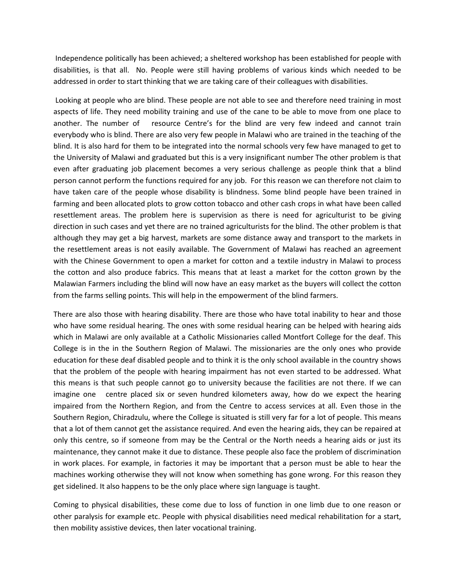Independence politically has been achieved; a sheltered workshop has been established for people with disabilities, is that all. No. People were still having problems of various kinds which needed to be addressed in order to start thinking that we are taking care of their colleagues with disabilities.

Looking at people who are blind. These people are not able to see and therefore need training in most aspects of life. They need mobility training and use of the cane to be able to move from one place to another. The number of resource Centre's for the blind are very few indeed and cannot train everybody who is blind. There are also very few people in Malawi who are trained in the teaching of the blind. It is also hard for them to be integrated into the normal schools very few have managed to get to the University of Malawi and graduated but this is a very insignificant number The other problem is that even after graduating job placement becomes a very serious challenge as people think that a blind person cannot perform the functions required for any job. For this reason we can therefore not claim to have taken care of the people whose disability is blindness. Some blind people have been trained in farming and been allocated plots to grow cotton tobacco and other cash crops in what have been called resettlement areas. The problem here is supervision as there is need for agriculturist to be giving direction in such cases and yet there are no trained agriculturists for the blind. The other problem is that although they may get a big harvest, markets are some distance away and transport to the markets in the resettlement areas is not easily available. The Government of Malawi has reached an agreement with the Chinese Government to open a market for cotton and a textile industry in Malawi to process the cotton and also produce fabrics. This means that at least a market for the cotton grown by the Malawian Farmers including the blind will now have an easy market as the buyers will collect the cotton from the farms selling points. This will help in the empowerment of the blind farmers.

There are also those with hearing disability. There are those who have total inability to hear and those who have some residual hearing. The ones with some residual hearing can be helped with hearing aids which in Malawi are only available at a Catholic Missionaries called Montfort College for the deaf. This College is in the in the Southern Region of Malawi. The missionaries are the only ones who provide education for these deaf disabled people and to think it is the only school available in the country shows that the problem of the people with hearing impairment has not even started to be addressed. What this means is that such people cannot go to university because the facilities are not there. If we can imagine one centre placed six or seven hundred kilometers away, how do we expect the hearing impaired from the Northern Region, and from the Centre to access services at all. Even those in the Southern Region, Chiradzulu, where the College is situated is still very far for a lot of people. This means that a lot of them cannot get the assistance required. And even the hearing aids, they can be repaired at only this centre, so if someone from may be the Central or the North needs a hearing aids or just its maintenance, they cannot make it due to distance. These people also face the problem of discrimination in work places. For example, in factories it may be important that a person must be able to hear the machines working otherwise they will not know when something has gone wrong. For this reason they get sidelined. It also happens to be the only place where sign language is taught.

Coming to physical disabilities, these come due to loss of function in one limb due to one reason or other paralysis for example etc. People with physical disabilities need medical rehabilitation for a start, then mobility assistive devices, then later vocational training.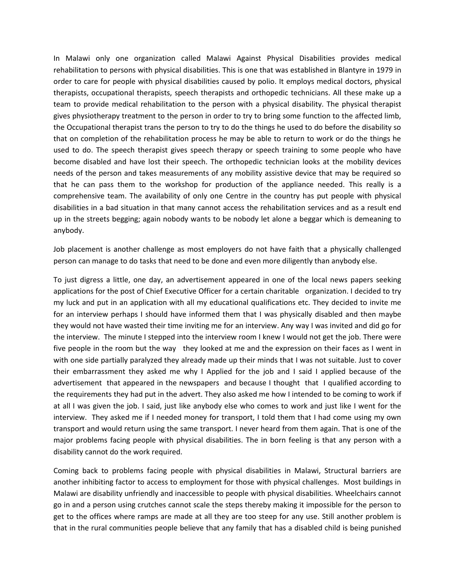In Malawi only one organization called Malawi Against Physical Disabilities provides medical rehabilitation to persons with physical disabilities. This is one that was established in Blantyre in 1979 in order to care for people with physical disabilities caused by polio. It employs medical doctors, physical therapists, occupational therapists, speech therapists and orthopedic technicians. All these make up a team to provide medical rehabilitation to the person with a physical disability. The physical therapist gives physiotherapy treatment to the person in order to try to bring some function to the affected limb, the Occupational therapist trans the person to try to do the things he used to do before the disability so that on completion of the rehabilitation process he may be able to return to work or do the things he used to do. The speech therapist gives speech therapy or speech training to some people who have become disabled and have lost their speech. The orthopedic technician looks at the mobility devices needs of the person and takes measurements of any mobility assistive device that may be required so that he can pass them to the workshop for production of the appliance needed. This really is a comprehensive team. The availability of only one Centre in the country has put people with physical disabilities in a bad situation in that many cannot access the rehabilitation services and as a result end up in the streets begging; again nobody wants to be nobody let alone a beggar which is demeaning to anybody.

Job placement is another challenge as most employers do not have faith that a physically challenged person can manage to do tasks that need to be done and even more diligently than anybody else.

To just digress a little, one day, an advertisement appeared in one of the local news papers seeking applications for the post of Chief Executive Officer for a certain charitable organization. I decided to try my luck and put in an application with all my educational qualifications etc. They decided to invite me for an interview perhaps I should have informed them that I was physically disabled and then maybe they would not have wasted their time inviting me for an interview. Any way I was invited and did go for the interview. The minute I stepped into the interview room I knew I would not get the job. There were five people in the room but the way they looked at me and the expression on their faces as I went in with one side partially paralyzed they already made up their minds that I was not suitable. Just to cover their embarrassment they asked me why I Applied for the job and I said I applied because of the advertisement that appeared in the newspapers and because I thought that I qualified according to the requirements they had put in the advert. They also asked me how I intended to be coming to work if at all I was given the job. I said, just like anybody else who comes to work and just like I went for the interview. They asked me if I needed money for transport, I told them that I had come using my own transport and would return using the same transport. I never heard from them again. That is one of the major problems facing people with physical disabilities. The in born feeling is that any person with a disability cannot do the work required.

Coming back to problems facing people with physical disabilities in Malawi, Structural barriers are another inhibiting factor to access to employment for those with physical challenges. Most buildings in Malawi are disability unfriendly and inaccessible to people with physical disabilities. Wheelchairs cannot go in and a person using crutches cannot scale the steps thereby making it impossible for the person to get to the offices where ramps are made at all they are too steep for any use. Still another problem is that in the rural communities people believe that any family that has a disabled child is being punished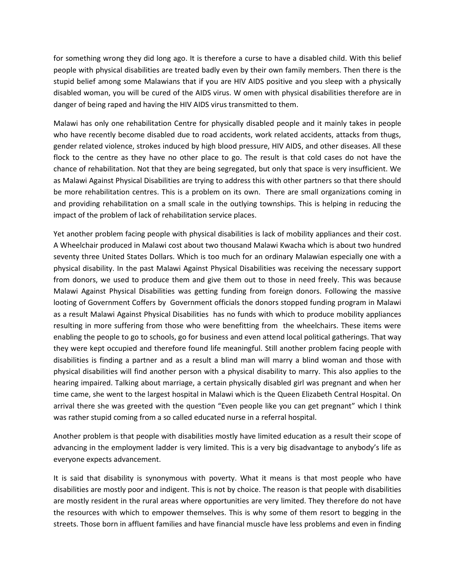for something wrong they did long ago. It is therefore a curse to have a disabled child. With this belief people with physical disabilities are treated badly even by their own family members. Then there is the stupid belief among some Malawians that if you are HIV AIDS positive and you sleep with a physically disabled woman, you will be cured of the AIDS virus. W omen with physical disabilities therefore are in danger of being raped and having the HIV AIDS virus transmitted to them.

Malawi has only one rehabilitation Centre for physically disabled people and it mainly takes in people who have recently become disabled due to road accidents, work related accidents, attacks from thugs, gender related violence, strokes induced by high blood pressure, HIV AIDS, and other diseases. All these flock to the centre as they have no other place to go. The result is that cold cases do not have the chance of rehabilitation. Not that they are being segregated, but only that space is very insufficient. We as Malawi Against Physical Disabilities are trying to address this with other partners so that there should be more rehabilitation centres. This is a problem on its own. There are small organizations coming in and providing rehabilitation on a small scale in the outlying townships. This is helping in reducing the impact of the problem of lack of rehabilitation service places.

Yet another problem facing people with physical disabilities is lack of mobility appliances and their cost. A Wheelchair produced in Malawi cost about two thousand Malawi Kwacha which is about two hundred seventy three United States Dollars. Which is too much for an ordinary Malawian especially one with a physical disability. In the past Malawi Against Physical Disabilities was receiving the necessary support from donors, we used to produce them and give them out to those in need freely. This was because Malawi Against Physical Disabilities was getting funding from foreign donors. Following the massive looting of Government Coffers by Government officials the donors stopped funding program in Malawi as a result Malawi Against Physical Disabilities has no funds with which to produce mobility appliances resulting in more suffering from those who were benefitting from the wheelchairs. These items were enabling the people to go to schools, go for business and even attend local political gatherings. That way they were kept occupied and therefore found life meaningful. Still another problem facing people with disabilities is finding a partner and as a result a blind man will marry a blind woman and those with physical disabilities will find another person with a physical disability to marry. This also applies to the hearing impaired. Talking about marriage, a certain physically disabled girl was pregnant and when her time came, she went to the largest hospital in Malawi which is the Queen Elizabeth Central Hospital. On arrival there she was greeted with the question "Even people like you can get pregnant" which I think was rather stupid coming from a so called educated nurse in a referral hospital.

Another problem is that people with disabilities mostly have limited education as a result their scope of advancing in the employment ladder is very limited. This is a very big disadvantage to anybody's life as everyone expects advancement.

It is said that disability is synonymous with poverty. What it means is that most people who have disabilities are mostly poor and indigent. This is not by choice. The reason is that people with disabilities are mostly resident in the rural areas where opportunities are very limited. They therefore do not have the resources with which to empower themselves. This is why some of them resort to begging in the streets. Those born in affluent families and have financial muscle have less problems and even in finding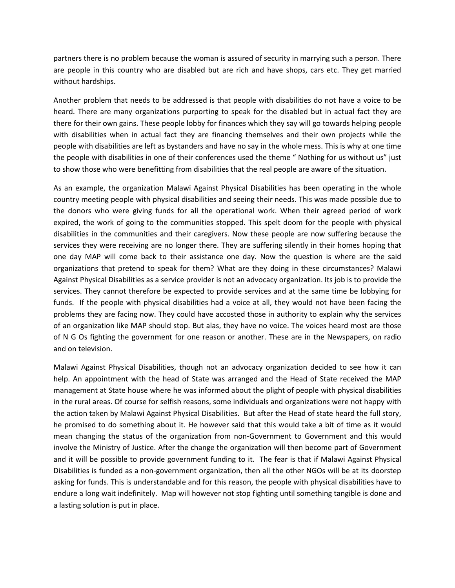partners there is no problem because the woman is assured of security in marrying such a person. There are people in this country who are disabled but are rich and have shops, cars etc. They get married without hardships.

Another problem that needs to be addressed is that people with disabilities do not have a voice to be heard. There are many organizations purporting to speak for the disabled but in actual fact they are there for their own gains. These people lobby for finances which they say will go towards helping people with disabilities when in actual fact they are financing themselves and their own projects while the people with disabilities are left as bystanders and have no say in the whole mess. This is why at one time the people with disabilities in one of their conferences used the theme " Nothing for us without us" just to show those who were benefitting from disabilities that the real people are aware of the situation.

As an example, the organization Malawi Against Physical Disabilities has been operating in the whole country meeting people with physical disabilities and seeing their needs. This was made possible due to the donors who were giving funds for all the operational work. When their agreed period of work expired, the work of going to the communities stopped. This spelt doom for the people with physical disabilities in the communities and their caregivers. Now these people are now suffering because the services they were receiving are no longer there. They are suffering silently in their homes hoping that one day MAP will come back to their assistance one day. Now the question is where are the said organizations that pretend to speak for them? What are they doing in these circumstances? Malawi Against Physical Disabilities as a service provider is not an advocacy organization. Its job is to provide the services. They cannot therefore be expected to provide services and at the same time be lobbying for funds. If the people with physical disabilities had a voice at all, they would not have been facing the problems they are facing now. They could have accosted those in authority to explain why the services of an organization like MAP should stop. But alas, they have no voice. The voices heard most are those of N G Os fighting the government for one reason or another. These are in the Newspapers, on radio and on television.

Malawi Against Physical Disabilities, though not an advocacy organization decided to see how it can help. An appointment with the head of State was arranged and the Head of State received the MAP management at State house where he was informed about the plight of people with physical disabilities in the rural areas. Of course for selfish reasons, some individuals and organizations were not happy with the action taken by Malawi Against Physical Disabilities. But after the Head of state heard the full story, he promised to do something about it. He however said that this would take a bit of time as it would mean changing the status of the organization from non-Government to Government and this would involve the Ministry of Justice. After the change the organization will then become part of Government and it will be possible to provide government funding to it. The fear is that if Malawi Against Physical Disabilities is funded as a non-government organization, then all the other NGOs will be at its doorstep asking for funds. This is understandable and for this reason, the people with physical disabilities have to endure a long wait indefinitely. Map will however not stop fighting until something tangible is done and a lasting solution is put in place.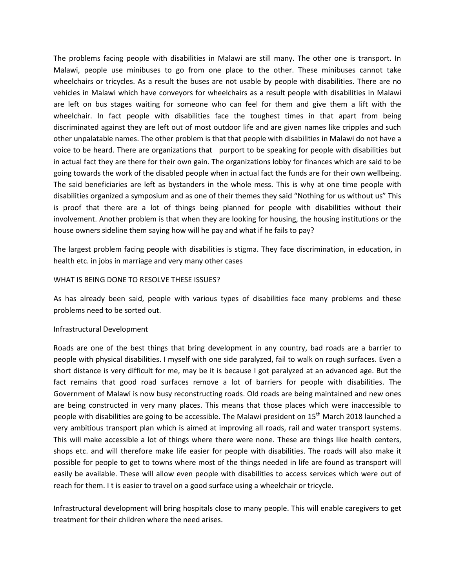The problems facing people with disabilities in Malawi are still many. The other one is transport. In Malawi, people use minibuses to go from one place to the other. These minibuses cannot take wheelchairs or tricycles. As a result the buses are not usable by people with disabilities. There are no vehicles in Malawi which have conveyors for wheelchairs as a result people with disabilities in Malawi are left on bus stages waiting for someone who can feel for them and give them a lift with the wheelchair. In fact people with disabilities face the toughest times in that apart from being discriminated against they are left out of most outdoor life and are given names like cripples and such other unpalatable names. The other problem is that that people with disabilities in Malawi do not have a voice to be heard. There are organizations that purport to be speaking for people with disabilities but in actual fact they are there for their own gain. The organizations lobby for finances which are said to be going towards the work of the disabled people when in actual fact the funds are for their own wellbeing. The said beneficiaries are left as bystanders in the whole mess. This is why at one time people with disabilities organized a symposium and as one of their themes they said "Nothing for us without us" This is proof that there are a lot of things being planned for people with disabilities without their involvement. Another problem is that when they are looking for housing, the housing institutions or the house owners sideline them saying how will he pay and what if he fails to pay?

The largest problem facing people with disabilities is stigma. They face discrimination, in education, in health etc. in jobs in marriage and very many other cases

#### WHAT IS BEING DONE TO RESOLVE THESE ISSUES?

As has already been said, people with various types of disabilities face many problems and these problems need to be sorted out.

#### Infrastructural Development

Roads are one of the best things that bring development in any country, bad roads are a barrier to people with physical disabilities. I myself with one side paralyzed, fail to walk on rough surfaces. Even a short distance is very difficult for me, may be it is because I got paralyzed at an advanced age. But the fact remains that good road surfaces remove a lot of barriers for people with disabilities. The Government of Malawi is now busy reconstructing roads. Old roads are being maintained and new ones are being constructed in very many places. This means that those places which were inaccessible to people with disabilities are going to be accessible. The Malawi president on 15<sup>th</sup> March 2018 launched a very ambitious transport plan which is aimed at improving all roads, rail and water transport systems. This will make accessible a lot of things where there were none. These are things like health centers, shops etc. and will therefore make life easier for people with disabilities. The roads will also make it possible for people to get to towns where most of the things needed in life are found as transport will easily be available. These will allow even people with disabilities to access services which were out of reach for them. I t is easier to travel on a good surface using a wheelchair or tricycle.

Infrastructural development will bring hospitals close to many people. This will enable caregivers to get treatment for their children where the need arises.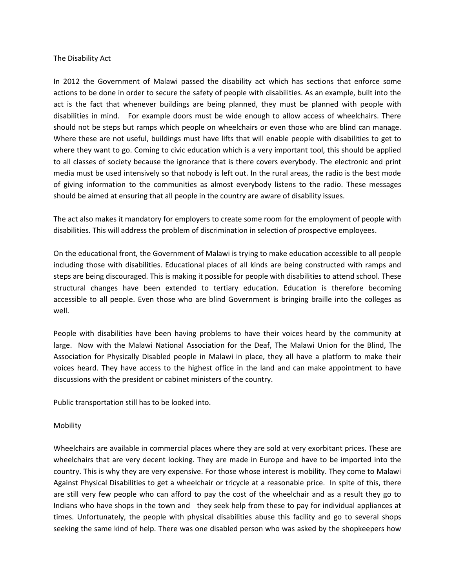#### The Disability Act

In 2012 the Government of Malawi passed the disability act which has sections that enforce some actions to be done in order to secure the safety of people with disabilities. As an example, built into the act is the fact that whenever buildings are being planned, they must be planned with people with disabilities in mind. For example doors must be wide enough to allow access of wheelchairs. There should not be steps but ramps which people on wheelchairs or even those who are blind can manage. Where these are not useful, buildings must have lifts that will enable people with disabilities to get to where they want to go. Coming to civic education which is a very important tool, this should be applied to all classes of society because the ignorance that is there covers everybody. The electronic and print media must be used intensively so that nobody is left out. In the rural areas, the radio is the best mode of giving information to the communities as almost everybody listens to the radio. These messages should be aimed at ensuring that all people in the country are aware of disability issues.

The act also makes it mandatory for employers to create some room for the employment of people with disabilities. This will address the problem of discrimination in selection of prospective employees.

On the educational front, the Government of Malawi is trying to make education accessible to all people including those with disabilities. Educational places of all kinds are being constructed with ramps and steps are being discouraged. This is making it possible for people with disabilities to attend school. These structural changes have been extended to tertiary education. Education is therefore becoming accessible to all people. Even those who are blind Government is bringing braille into the colleges as well.

People with disabilities have been having problems to have their voices heard by the community at large. Now with the Malawi National Association for the Deaf, The Malawi Union for the Blind, The Association for Physically Disabled people in Malawi in place, they all have a platform to make their voices heard. They have access to the highest office in the land and can make appointment to have discussions with the president or cabinet ministers of the country.

Public transportation still has to be looked into.

### Mobility

Wheelchairs are available in commercial places where they are sold at very exorbitant prices. These are wheelchairs that are very decent looking. They are made in Europe and have to be imported into the country. This is why they are very expensive. For those whose interest is mobility. They come to Malawi Against Physical Disabilities to get a wheelchair or tricycle at a reasonable price. In spite of this, there are still very few people who can afford to pay the cost of the wheelchair and as a result they go to Indians who have shops in the town and they seek help from these to pay for individual appliances at times. Unfortunately, the people with physical disabilities abuse this facility and go to several shops seeking the same kind of help. There was one disabled person who was asked by the shopkeepers how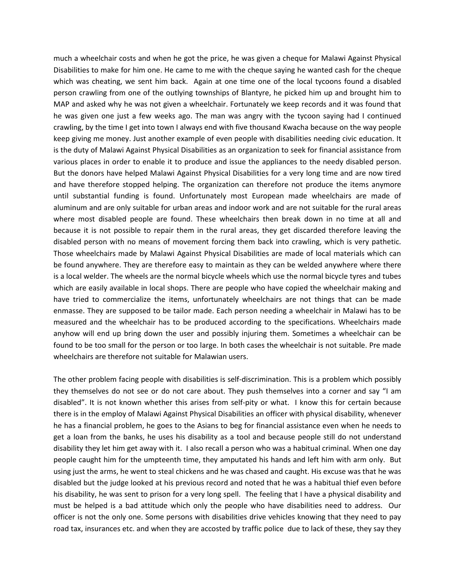much a wheelchair costs and when he got the price, he was given a cheque for Malawi Against Physical Disabilities to make for him one. He came to me with the cheque saying he wanted cash for the cheque which was cheating, we sent him back. Again at one time one of the local tycoons found a disabled person crawling from one of the outlying townships of Blantyre, he picked him up and brought him to MAP and asked why he was not given a wheelchair. Fortunately we keep records and it was found that he was given one just a few weeks ago. The man was angry with the tycoon saying had I continued crawling, by the time I get into town I always end with five thousand Kwacha because on the way people keep giving me money. Just another example of even people with disabilities needing civic education. It is the duty of Malawi Against Physical Disabilities as an organization to seek for financial assistance from various places in order to enable it to produce and issue the appliances to the needy disabled person. But the donors have helped Malawi Against Physical Disabilities for a very long time and are now tired and have therefore stopped helping. The organization can therefore not produce the items anymore until substantial funding is found. Unfortunately most European made wheelchairs are made of aluminum and are only suitable for urban areas and indoor work and are not suitable for the rural areas where most disabled people are found. These wheelchairs then break down in no time at all and because it is not possible to repair them in the rural areas, they get discarded therefore leaving the disabled person with no means of movement forcing them back into crawling, which is very pathetic. Those wheelchairs made by Malawi Against Physical Disabilities are made of local materials which can be found anywhere. They are therefore easy to maintain as they can be welded anywhere where there is a local welder. The wheels are the normal bicycle wheels which use the normal bicycle tyres and tubes which are easily available in local shops. There are people who have copied the wheelchair making and have tried to commercialize the items, unfortunately wheelchairs are not things that can be made enmasse. They are supposed to be tailor made. Each person needing a wheelchair in Malawi has to be measured and the wheelchair has to be produced according to the specifications. Wheelchairs made anyhow will end up bring down the user and possibly injuring them. Sometimes a wheelchair can be found to be too small for the person or too large. In both cases the wheelchair is not suitable. Pre made wheelchairs are therefore not suitable for Malawian users.

The other problem facing people with disabilities is self-discrimination. This is a problem which possibly they themselves do not see or do not care about. They push themselves into a corner and say "I am disabled". It is not known whether this arises from self-pity or what. I know this for certain because there is in the employ of Malawi Against Physical Disabilities an officer with physical disability, whenever he has a financial problem, he goes to the Asians to beg for financial assistance even when he needs to get a loan from the banks, he uses his disability as a tool and because people still do not understand disability they let him get away with it. I also recall a person who was a habitual criminal. When one day people caught him for the umpteenth time, they amputated his hands and left him with arm only. But using just the arms, he went to steal chickens and he was chased and caught. His excuse was that he was disabled but the judge looked at his previous record and noted that he was a habitual thief even before his disability, he was sent to prison for a very long spell. The feeling that I have a physical disability and must be helped is a bad attitude which only the people who have disabilities need to address. Our officer is not the only one. Some persons with disabilities drive vehicles knowing that they need to pay road tax, insurances etc. and when they are accosted by traffic police due to lack of these, they say they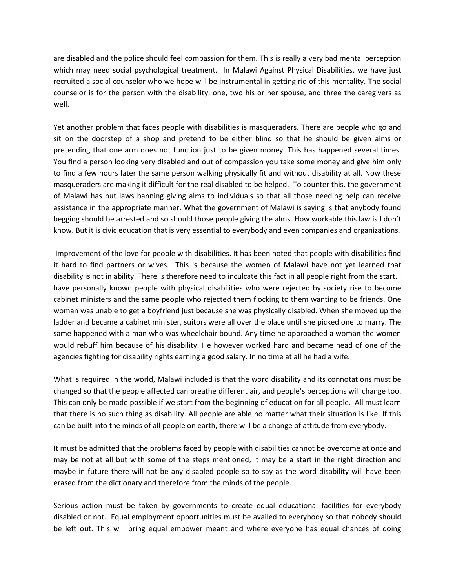are disabled and the police should feel compassion for them. This is really a very bad mental perception which may need social psychological treatment. In Malawi Against Physical Disabilities, we have just recruited a social counselor who we hope will be instrumental in getting rid of this mentality. The social counselor is for the person with the disability, one, two his or her spouse, and three the caregivers as well.

Yet another problem that faces people with disabilities is masqueraders. There are people who go and sit on the doorstep of a shop and pretend to be either blind so that he should be given alms or pretending that one arm does not function just to be given money. This has happened several times. You find a person looking very disabled and out of compassion you take some money and give him only to find a few hours later the same person walking physically fit and without disability at all. Now these masqueraders are making it difficult for the real disabled to be helped. To counter this, the government of Malawi has put laws banning giving alms to individuals so that all those needing help can receive assistance in the appropriate manner. What the government of Malawi is saying is that anybody found begging should be arrested and so should those people giving the alms. How workable this law is I don't know. But it is civic education that is very essential to everybody and even companies and organizations.

Improvement of the love for people with disabilities. It has been noted that people with disabilities find it hard to find partners or wives. This is because the women of Malawi have not yet learned that disability is not in ability. There is therefore need to inculcate this fact in all people right from the start. I have personally known people with physical disabilities who were rejected by society rise to become cabinet ministers and the same people who rejected them flocking to them wanting to be friends. One woman was unable to get a boyfriend just because she was physically disabled. When she moved up the ladder and became a cabinet minister, suitors were all over the place until she picked one to marry. The same happened with a man who was wheelchair bound. Any time he approached a woman the women would rebuff him because of his disability. He however worked hard and became head of one of the agencies fighting for disability rights earning a good salary. In no time at all he had a wife.

What is required in the world, Malawi included is that the word disability and its connotations must be changed so that the people affected can breathe different air, and people's perceptions will change too. This can only be made possible if we start from the beginning of education for all people. All must learn that there is no such thing as disability. All people are able no matter what their situation is like. If this can be built into the minds of all people on earth, there will be a change of attitude from everybody.

It must be admitted that the problems faced by people with disabilities cannot be overcome at once and may be not at all but with some of the steps mentioned, it may be a start in the right direction and maybe in future there will not be any disabled people so to say as the word disability will have been erased from the dictionary and therefore from the minds of the people.

Serious action must be taken by governments to create equal educational facilities for everybody disabled or not. Equal employment opportunities must be availed to everybody so that nobody should be left out. This will bring equal empower meant and where everyone has equal chances of doing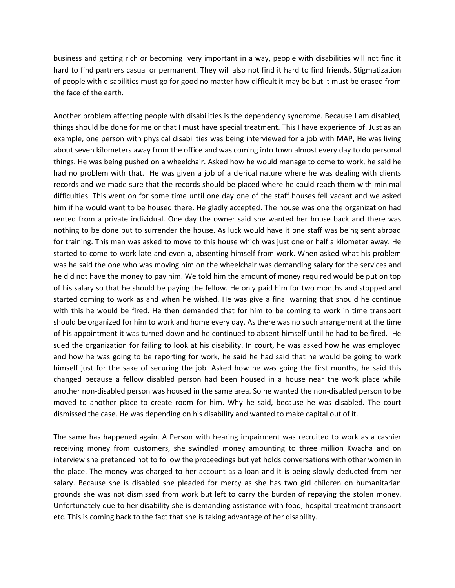business and getting rich or becoming very important in a way, people with disabilities will not find it hard to find partners casual or permanent. They will also not find it hard to find friends. Stigmatization of people with disabilities must go for good no matter how difficult it may be but it must be erased from the face of the earth.

Another problem affecting people with disabilities is the dependency syndrome. Because I am disabled, things should be done for me or that I must have special treatment. This I have experience of. Just as an example, one person with physical disabilities was being interviewed for a job with MAP, He was living about seven kilometers away from the office and was coming into town almost every day to do personal things. He was being pushed on a wheelchair. Asked how he would manage to come to work, he said he had no problem with that. He was given a job of a clerical nature where he was dealing with clients records and we made sure that the records should be placed where he could reach them with minimal difficulties. This went on for some time until one day one of the staff houses fell vacant and we asked him if he would want to be housed there. He gladly accepted. The house was one the organization had rented from a private individual. One day the owner said she wanted her house back and there was nothing to be done but to surrender the house. As luck would have it one staff was being sent abroad for training. This man was asked to move to this house which was just one or half a kilometer away. He started to come to work late and even a, absenting himself from work. When asked what his problem was he said the one who was moving him on the wheelchair was demanding salary for the services and he did not have the money to pay him. We told him the amount of money required would be put on top of his salary so that he should be paying the fellow. He only paid him for two months and stopped and started coming to work as and when he wished. He was give a final warning that should he continue with this he would be fired. He then demanded that for him to be coming to work in time transport should be organized for him to work and home every day. As there was no such arrangement at the time of his appointment it was turned down and he continued to absent himself until he had to be fired. He sued the organization for failing to look at his disability. In court, he was asked how he was employed and how he was going to be reporting for work, he said he had said that he would be going to work himself just for the sake of securing the job. Asked how he was going the first months, he said this changed because a fellow disabled person had been housed in a house near the work place while another non-disabled person was housed in the same area. So he wanted the non-disabled person to be moved to another place to create room for him. Why he said, because he was disabled. The court dismissed the case. He was depending on his disability and wanted to make capital out of it.

The same has happened again. A Person with hearing impairment was recruited to work as a cashier receiving money from customers, she swindled money amounting to three million Kwacha and on interview she pretended not to follow the proceedings but yet holds conversations with other women in the place. The money was charged to her account as a loan and it is being slowly deducted from her salary. Because she is disabled she pleaded for mercy as she has two girl children on humanitarian grounds she was not dismissed from work but left to carry the burden of repaying the stolen money. Unfortunately due to her disability she is demanding assistance with food, hospital treatment transport etc. This is coming back to the fact that she is taking advantage of her disability.